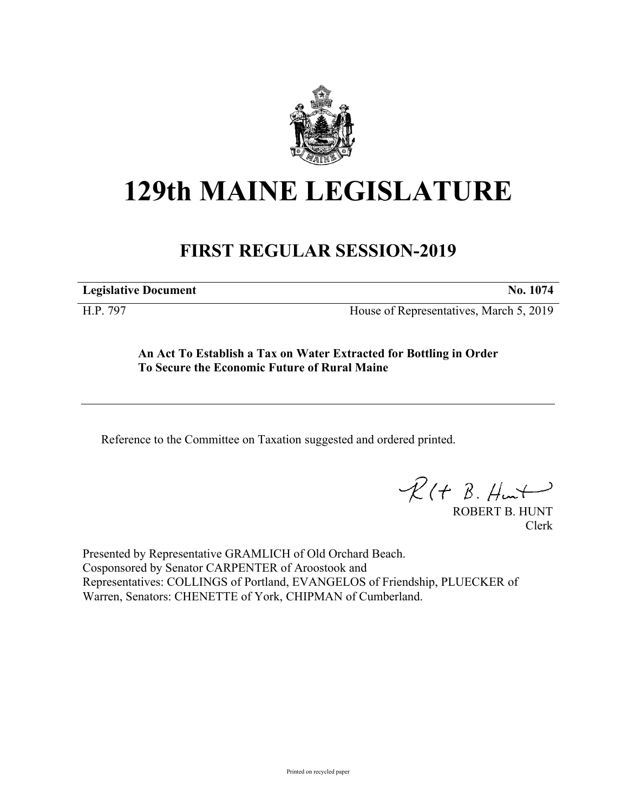

# **129th MAINE LEGISLATURE**

# **FIRST REGULAR SESSION-2019**

**Legislative Document No. 1074**

H.P. 797 House of Representatives, March 5, 2019

**An Act To Establish a Tax on Water Extracted for Bottling in Order To Secure the Economic Future of Rural Maine**

Reference to the Committee on Taxation suggested and ordered printed.

 $R(t B. Hmt)$ 

ROBERT B. HUNT Clerk

Presented by Representative GRAMLICH of Old Orchard Beach. Cosponsored by Senator CARPENTER of Aroostook and Representatives: COLLINGS of Portland, EVANGELOS of Friendship, PLUECKER of Warren, Senators: CHENETTE of York, CHIPMAN of Cumberland.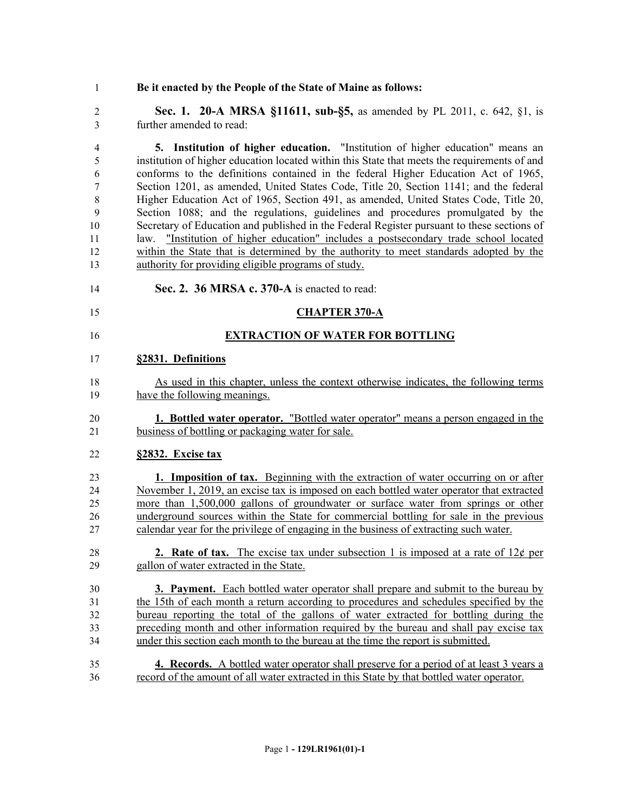**Be it enacted by the People of the State of Maine as follows:**

 **Sec. 1. 20-A MRSA §11611, sub-§5,** as amended by PL 2011, c. 642, §1, is further amended to read:

 **5. Institution of higher education.** "Institution of higher education" means an institution of higher education located within this State that meets the requirements of and conforms to the definitions contained in the federal Higher Education Act of 1965, Section 1201, as amended, United States Code, Title 20, Section 1141; and the federal Higher Education Act of 1965, Section 491, as amended, United States Code, Title 20, Section 1088; and the regulations, guidelines and procedures promulgated by the Secretary of Education and published in the Federal Register pursuant to these sections of law. "Institution of higher education" includes a postsecondary trade school located within the State that is determined by the authority to meet standards adopted by the authority for providing eligible programs of study.

- **Sec. 2. 36 MRSA c. 370-A** is enacted to read:
- **CHAPTER 370-A**
- **EXTRACTION OF WATER FOR BOTTLING**

#### **§2831. Definitions**

- As used in this chapter, unless the context otherwise indicates, the following terms have the following meanings.
- **1. Bottled water operator.** "Bottled water operator" means a person engaged in the business of bottling or packaging water for sale.

#### **§2832. Excise tax**

- **1. Imposition of tax.** Beginning with the extraction of water occurring on or after November 1, 2019, an excise tax is imposed on each bottled water operator that extracted more than 1,500,000 gallons of groundwater or surface water from springs or other underground sources within the State for commercial bottling for sale in the previous calendar year for the privilege of engaging in the business of extracting such water.
- 28 **2. Rate of tax.** The excise tax under subsection 1 is imposed at a rate of  $12¢$  per gallon of water extracted in the State.

 **3. Payment.** Each bottled water operator shall prepare and submit to the bureau by the 15th of each month a return according to procedures and schedules specified by the bureau reporting the total of the gallons of water extracted for bottling during the preceding month and other information required by the bureau and shall pay excise tax under this section each month to the bureau at the time the report is submitted.

 **4. Records.** A bottled water operator shall preserve for a period of at least 3 years a record of the amount of all water extracted in this State by that bottled water operator.